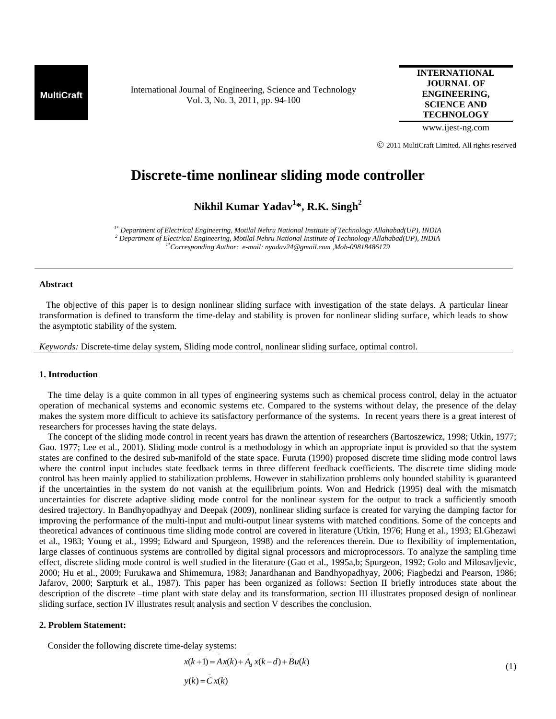**MultiCraft** International Journal of Engineering, Science and Technology Vol. 3, No. 3, 2011, pp. 94-100

**INTERNATIONAL JOURNAL OF ENGINEERING, SCIENCE AND TECHNOLOGY**

www.ijest-ng.com

© 2011 MultiCraft Limited. All rights reserved

# **Discrete-time nonlinear sliding mode controller**

**Nikhil Kumar Yadav1 \*, R.K. Singh2**

*1\* Department of Electrical Engineering, Motilal Nehru National Institute of Technology Allahabad(UP), INDIA 2 Department of Electrical Engineering, Motilal Nehru National Institute of Technology Allahabad(UP), INDIA 1\*Corresponding Author: e-mail: nyadav24@gmail.com ,Mob-09818486179* 

## **Abstract**

 The objective of this paper is to design nonlinear sliding surface with investigation of the state delays. A particular linear transformation is defined to transform the time-delay and stability is proven for nonlinear sliding surface, which leads to show the asymptotic stability of the system.

*Keywords:* Discrete-time delay system, Sliding mode control, nonlinear sliding surface, optimal control.

## **1. Introduction**

The time delay is a quite common in all types of engineering systems such as chemical process control, delay in the actuator operation of mechanical systems and economic systems etc. Compared to the systems without delay, the presence of the delay makes the system more difficult to achieve its satisfactory performance of the systems. In recent years there is a great interest of researchers for processes having the state delays.

The concept of the sliding mode control in recent years has drawn the attention of researchers (Bartoszewicz, 1998; Utkin, 1977; Gao. 1977; Lee et al., 2001). Sliding mode control is a methodology in which an appropriate input is provided so that the system states are confined to the desired sub-manifold of the state space. Furuta (1990) proposed discrete time sliding mode control laws where the control input includes state feedback terms in three different feedback coefficients. The discrete time sliding mode control has been mainly applied to stabilization problems. However in stabilization problems only bounded stability is guaranteed if the uncertainties in the system do not vanish at the equilibrium points. Won and Hedrick (1995) deal with the mismatch uncertainties for discrete adaptive sliding mode control for the nonlinear system for the output to track a sufficiently smooth desired trajectory. In Bandhyopadhyay and Deepak (2009), nonlinear sliding surface is created for varying the damping factor for improving the performance of the multi-input and multi-output linear systems with matched conditions. Some of the concepts and theoretical advances of continuous time sliding mode control are covered in literature (Utkin, 1976; Hung et al., 1993; El.Ghezawi et al., 1983; Young et al., 1999; Edward and Spurgeon, 1998) and the references therein. Due to flexibility of implementation, large classes of continuous systems are controlled by digital signal processors and microprocessors. To analyze the sampling time effect, discrete sliding mode control is well studied in the literature (Gao et al., 1995a,b; Spurgeon, 1992; Golo and Milosavljevic, 2000; Hu et al., 2009; Furukawa and Shimemura, 1983; Janardhanan and Bandhyopadhyay, 2006; Fiagbedzi and Pearson, 1986; Jafarov, 2000; Sarpturk et al., 1987). This paper has been organized as follows: Section II briefly introduces state about the description of the discrete –time plant with state delay and its transformation, section III illustrates proposed design of nonlinear sliding surface, section IV illustrates result analysis and section V describes the conclusion.

#### **2. Problem Statement:**

Consider the following discrete time-delay systems:

$$
x(k+1) = A x(k) + Ad x(k-d) + B u(k)
$$
  

$$
y(k) = C x(k)
$$
 (1)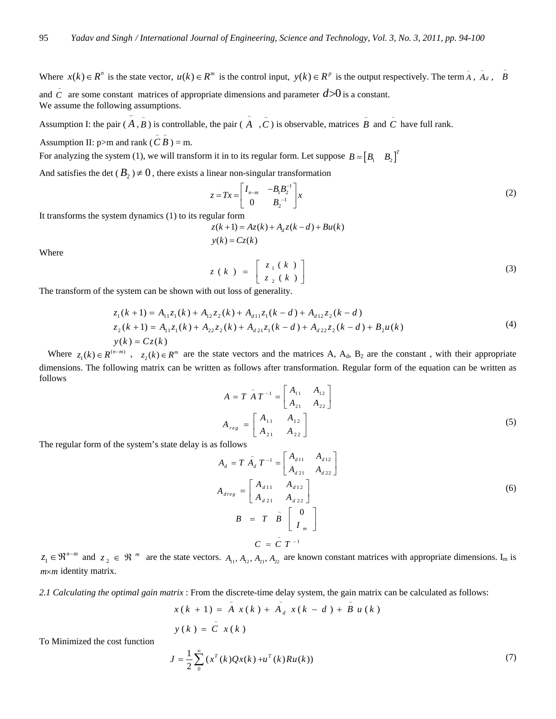Where  $x(k) \in R^n$  is the state vector,  $u(k) \in R^m$  is the control input,  $y(k) \in R^p$  is the output respectively. The term  $\overline{A}$ ,  $\overline{A}_d$ ,  $\overline{B}$ and  $\overline{C}$  are some constant matrices of appropriate dimensions and parameter  $d > 0$  is a constant. We assume the following assumptions.

 $\overline{A}$  Assumption I: the pair ( $\overline{A}$  $\overline{B}$ ) is controllable, the pair ( $\overline{A}$ ,  $\overline{C}$ ) is observable, matrices  $\overline{B}$  and  $\overline{C}$  have full rank.

 $y(k) = Cz(k)$ 

Assumption II:  $p > m$  and rank ( $\overline{C}$  $\overline{B}$ ) = m.

For analyzing the system (1), we will transform it in to its regular form. Let suppose  $B = \begin{bmatrix} B_1 & B_2 \end{bmatrix}^T$ 

And satisfies the det ( $B_2 \neq 0$ , there exists a linear non-singular transformation

$$
z = Tx = \begin{bmatrix} I_{n-m} & -B_1 B_2^{-1} \\ 0 & B_2^{-1} \end{bmatrix} x
$$
 (2)

It transforms the system dynamics (1) to its regular form

 $z(k+1) = Az(k) + A_d z(k-d) + Bu(k)$ 

Where

$$
z(k) = \begin{bmatrix} z_1(k) \\ z_2(k) \end{bmatrix}
$$
 (3)

The transform of the system can be shown with out loss of generality.

$$
z_1(k+1) = A_{11}z_1(k) + A_{12}z_2(k) + A_{d11}z_1(k-d) + A_{d12}z_2(k-d)
$$
  
\n
$$
z_2(k+1) = A_{11}z_1(k) + A_{22}z_2(k) + A_{d21}z_1(k-d) + A_{d22}z_2(k-d) + B_2u(k)
$$
  
\n
$$
y(k) = Cz(k)
$$
\n(4)

Where  $z_1(k) \in R^{(n-m)}$ ,  $z_2(k) \in R^m$  are the state vectors and the matrices A, A<sub>d</sub>, B<sub>2</sub> are the constant, with their appropriate dimensions. The following matrix can be written as follows after transformation. Regular form of the equation can be written as follows

$$
A = T \bar{A} T^{-1} = \begin{bmatrix} A_{11} & A_{12} \\ A_{21} & A_{22} \end{bmatrix}
$$
  
\n
$$
A_{reg} = \begin{bmatrix} A_{11} & A_{12} \\ A_{21} & A_{22} \end{bmatrix}
$$
 (5)

The regular form of the system's state delay is as follows

To Minimized the cost function

$$
A_{d} = T \bar{A}_{d} T^{-1} = \begin{bmatrix} A_{d11} & A_{d12} \\ A_{d21} & A_{d22} \end{bmatrix}
$$
  
\n
$$
A_{dreg} = \begin{bmatrix} A_{d11} & A_{d12} \\ A_{d21} & A_{d22} \end{bmatrix}
$$
  
\n
$$
B = T \bar{B} \begin{bmatrix} 0 \\ I_m \end{bmatrix}
$$
  
\n
$$
C = \bar{C} T^{-1}
$$
 (6)

 $z_1 \in \mathbb{R}^{n-m}$  and  $z_2 \in \mathbb{R}^m$  are the state vectors.  $A_{11}, A_{12}, A_{21}, A_{22}$  are known constant matrices with appropriate dimensions. I<sub>m</sub> is  $m \times m$  identity matrix.

*2.1 Calculating the optimal gain matrix* : From the discrete-time delay system, the gain matrix can be calculated as follows:

 $x(k + 1) = \overline{A} x(k) + \overline{A}_d x(k - d) + \overline{B} u(k)$  $y(k) = \overline{\overset{-}{C}} x(k)$ 

$$
J = \frac{1}{2} \sum_{0}^{\infty} (x^{T}(k)Qx(k) + u^{T}(k)Ru(k))
$$
 (7)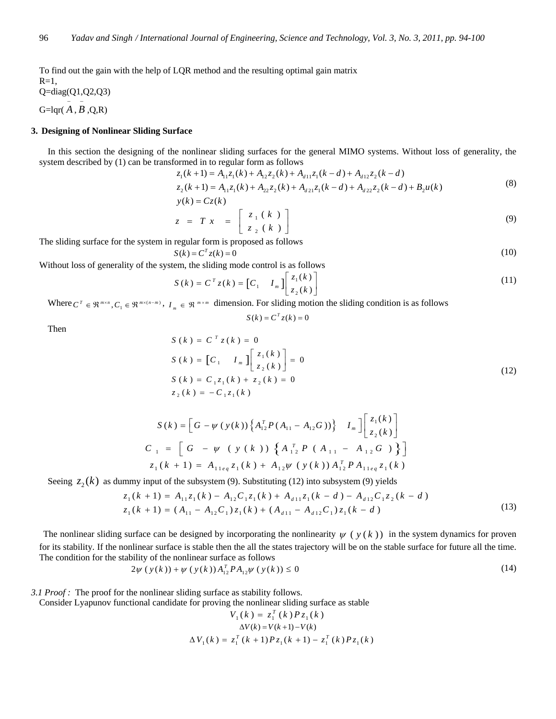To find out the gain with the help of LQR method and the resulting optimal gain matrix

 $R=1$ ,

Q=diag(Q1,Q2,Q3)

 $G=$ lqr $(\overline{A}, \overline{B}, Q, R)$ 

# **3. Designing of Nonlinear Sliding Surface**

In this section the designing of the nonlinear sliding surfaces for the general MIMO systems. Without loss of generality, the system described by (1) can be transformed in to regular form as follows

$$
z_1(k+1) = A_{11}z_1(k) + A_{12}z_2(k) + A_{d11}z_1(k-d) + A_{d12}z_2(k-d)
$$
  
\n
$$
z_2(k+1) = A_{11}z_1(k) + A_{22}z_2(k) + A_{d21}z_1(k-d) + A_{d22}z_2(k-d) + B_2u(k)
$$
  
\n
$$
y(k) = Cz(k)
$$
\n(8)

$$
z = Tx = \begin{bmatrix} z_1(k) \\ z_2(k) \end{bmatrix}
$$
 (9)

The sliding surface for the system in regular form is proposed as follows

$$
S(k) = CT z(k) = 0
$$
\n<sup>(10)</sup>

Without loss of generality of the system, the sliding mode control is as follows

$$
S(k) = CT z(k) = \begin{bmatrix} C_1 & I_m \end{bmatrix} \begin{bmatrix} z_1(k) \\ z_2(k) \end{bmatrix}
$$
 (11)

Where  $C^T \in \mathbb{R}^{m \times n}$ ,  $C_1 \in \mathbb{R}^{m \times (n-m)}$ ,  $I_m \in \mathbb{R}^{m \times m}$  dimension. For sliding motion the sliding condition is as follows

$$
S(k) = CT z(k) = 0
$$

Then

$$
S(k) = C^{T} z(k) = 0
$$
  
\n
$$
S(k) = [C_1 \t I_m] \begin{bmatrix} z_1(k) \\ z_2(k) \end{bmatrix} = 0
$$
  
\n
$$
S(k) = C_1 z_1(k) + z_2(k) = 0
$$
  
\n
$$
z_2(k) = -C_1 z_1(k)
$$
 (12)

$$
S(k) = \left[G - \psi(y(k)) \left\{ A_{12}^T P(A_{11} - A_{12}G) \right\} \right] I_m \left[ \begin{matrix} z_1(k) \\ z_2(k) \end{matrix} \right]
$$
  
\n
$$
C_1 = \left[G - \psi(y(k)) \left\{ A_{12}^T P(A_{11} - A_{12}G) \right\} \right]
$$
  
\n
$$
z_1(k+1) = A_{11eq} z_1(k) + A_{12} \psi(y(k)) A_{12}^T P A_{11eq} z_1(k)
$$

Seeing  $z_2(k)$  as dummy input of the subsystem (9). Substituting (12) into subsystem (9) yields

$$
z_1(k+1) = A_{11}z_1(k) - A_{12}C_1z_1(k) + A_{d11}z_1(k-d) - A_{d12}C_1z_2(k-d)
$$
  
\n
$$
z_1(k+1) = (A_{11} - A_{12}C_1)z_1(k) + (A_{d11} - A_{d12}C_1)z_1(k-d)
$$
\n(13)

The nonlinear sliding surface can be designed by incorporating the nonlinearity  $\psi$  ( $y$ ( $k$ )) in the system dynamics for proven for its stability. If the nonlinear surface is stable then the all the states trajectory will be on the stable surface for future all the time. The condition for the stability of the nonlinear surface as follows

$$
2\psi(y(k)) + \psi(y(k))A_{12}^T P A_{12}\psi(y(k)) \le 0
$$
\n(14)

*3.1 Proof :* The proof for the nonlinear sliding surface as stability follows.

Consider Lyapunov functional candidate for proving the nonlinear sliding surface as stable

$$
V_1(k) = z_1^T(k) P z_1(k)
$$
  
\n
$$
\Delta V(k) = V(k+1) - V(k)
$$
  
\n
$$
\Delta V_1(k) = z_1^T(k+1) P z_1(k+1) - z_1^T(k) P z_1(k)
$$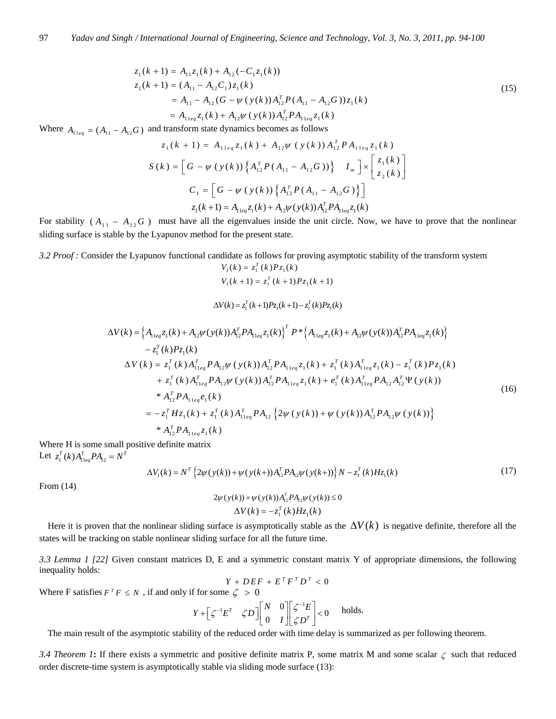$$
z_1(k+1) = A_{11}z_1(k) + A_{12}(-C_1z_1(k))
$$
  
\n
$$
z_1(k+1) = (A_{11} - A_{12}C_1)z_1(k)
$$
  
\n
$$
= A_{11} - A_{12}(G - \psi(y(k))A_{12}^T P(A_{11} - A_{12}G))z_1(k)
$$
  
\n
$$
= A_{11eq}z_1(k) + A_{12}\psi(y(k))A_{12}^T P A_{11eq}z_1(k)
$$
\n(15)

Where  $A_{11ea} = (A_{11} - A_{12}G)$  and transform state dynamics becomes as follows

$$
z_{1}(k + 1) = A_{11eq} z_{1}(k) + A_{12}\psi(y(k)) A_{12}^{T} P A_{11eq} z_{1}(k)
$$
  
\n
$$
S(k) = \left[ G - \psi(y(k)) \left\{ A_{12}^{T} P(A_{11} - A_{12}G) \right\} \right] I_{m} \right] \times \left[ \frac{z_{1}(k)}{z_{2}(k)} \right]
$$
  
\n
$$
C_{1} = \left[ G - \psi(y(k)) \left\{ A_{12}^{T} P(A_{11} - A_{12}G) \right\} \right]
$$
  
\n
$$
z_{1}(k + 1) = A_{11eq} z_{1}(k) + A_{12}\psi(y(k)) A_{12}^{T} P A_{11eq} z_{1}(k)
$$

For stability  $(A_{11} - A_{12}G)$  must have all the eigenvalues inside the unit circle. Now, we have to prove that the nonlinear sliding surface is stable by the Lyapunov method for the present state.

*3.2 Proof :* Consider the Lyapunov functional candidate as follows for proving asymptotic stability of the transform system

$$
V_1(k) = z_1^T(k)Pz_1(k)
$$
  

$$
V_1(k+1) = z_1^T(k+1)Pz_1(k+1)
$$

$$
\Delta V(k) = z_1^T(k+1)Pz_1(k+1) - z_1^T(k)Pz_1(k)
$$

$$
\Delta V(k) = \left\{ A_{11eq} z_1(k) + A_{12} \psi(y(k)) A_{12}^T P A_{11eq} z_1(k) \right\}^T P^* \left\{ A_{11eq} z_1(k) + A_{12} \psi(y(k)) A_{12}^T P A_{11eq} z_1(k) \right\} - z_1^T(k) P z_1(k) \n\Delta V(k) = z_1^T(k) A_{11eq}^T P A_{12} \psi(y(k)) A_{12}^T P A_{11eq} z_1(k) + z_1^T(k) A_{11eq}^T z_1(k) - z_1^T(k) P z_1(k) + z_1^T(k) A_{11eq}^T P A_{12} \psi(y(k)) A_{12}^T P A_{11eq} z_1(k) + e_1^T(k) A_{11eq}^T P A_{12} A_{12}^T \Psi(y(k)) * A_{12}^T P A_{11eq} e_1(k) = - z_1^T H z_1(k) + z_1^T(k) A_{11eq}^T P A_{12} \left\{ 2 \psi(y(k)) + \psi(y(k)) A_{12}^T P A_{12} \psi(y(k)) \right\} * A_{12}^T P A_{11eq} z_1(k)
$$
\n(16)

Where H is some small positive definite matrix Let  $z_1^T(k) A_{11eq}^T P A_{12} = N^T$ 

$$
\Delta V_1(k) = N^T \left\{ 2\psi(y(k)) + \psi(y(k+))A_{12}^T P A_{12} \psi(y(k+)) \right\} N - z_1^T(k) H z_1(k)
$$
\n(17)

From (14)

$$
2\psi(y(k)) + \psi(y(k))A_{12}^T P A_{12} \psi(y(k)) \le 0
$$
  
 
$$
\Delta V(k) = -z_1^T(k)Hz_1(k)
$$

Here it is proven that the nonlinear sliding surface is asymptotically stable as the  $\Delta V(k)$  is negative definite, therefore all the states will be tracking on stable nonlinear sliding surface for all the future time.

*3.3 Lemma 1 [22]* Given constant matrices D, E and a symmetric constant matrix Y of appropriate dimensions, the following inequality holds:

$$
Y + DEF + E^T F^T D^T < 0
$$

Where F satisfies  $F^T F \leq N$ , if and only if for some  $\zeta > 0$ 

$$
Y + \begin{bmatrix} \zeta^{-1} E^T & \zeta D \end{bmatrix} \begin{bmatrix} N & 0 \\ 0 & I \end{bmatrix} \begin{bmatrix} \zeta^{-1} E \\ \zeta D^T \end{bmatrix} < 0 \quad \text{holds.}
$$

The main result of the asymptotic stability of the reduced order with time delay is summarized as per following theorem.

*3.4 Theorem 1***:** If there exists a symmetric and positive definite matrix P, some matrix M and some scalar ζ such that reduced order discrete-time system is asymptotically stable via sliding mode surface (13):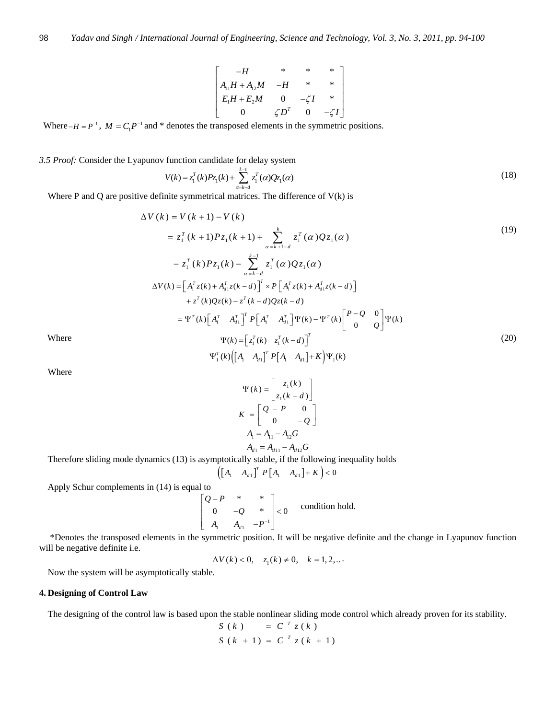$$
\begin{bmatrix}\n-H & * & * & * \\
A_{11}H + A_{12}M & -H & * & * \\
E_1H + E_2M & 0 & -\zeta I & * \\
0 & \zeta D^T & 0 & -\zeta I\n\end{bmatrix}
$$

Where  $-H = P^{-1}$ ,  $M = C_1 P^{-1}$  and \* denotes the transposed elements in the symmetric positions.

*3.5 Proof:* Consider the Lyapunov function candidate for delay system 1

$$
V(k) = z_1^T(k)Pz_1(k) + \sum_{\alpha=k-d}^{k-1} z_1^T(\alpha)Qz_1(\alpha)
$$
\n(18)

Where P and Q are positive definite symmetrical matrices. The difference of  $V(k)$  is

$$
\Delta V(k) = V(k+1) - V(k)
$$
\n
$$
= z_1^T(k+1)Pz_1(k+1) + \sum_{\alpha=k+1-d}^{k} z_1^T(\alpha)Qz_1(\alpha)
$$
\n
$$
- z_1^T(k)Pz_1(k) - \sum_{\alpha=k-d}^{k-1} z_1^T(\alpha)Qz_1(\alpha)
$$
\n
$$
\Delta V(k) = [A_1^Tz(k) + A_{d1}^Tz(k-d)]^T \times P[A_1^Tz(k) + A_{d1}^Tz(k-d)]
$$
\n
$$
+ z^T(k)Qz(k) - z^T(k-d)Qz(k-d)
$$
\n
$$
= \Psi^T(k) \Big[A_1^T A_{d1}^T\Big]^T P[A_1^T A_{d1}^T] \Psi(k) - \Psi^T(k) \Big[ \begin{matrix} P-Q & 0 \ 0 & Q \end{matrix} \Psi(k)
$$
\nWhere\n
$$
\Psi(k) = [z_1^T(k) z_1^T(k-d)]^T
$$
\n
$$
\Psi_1^T(k) ([A_1 A_{d1}]^T P[A_1 A_{d1}] + K) \Psi_1(k)
$$
\n(20)

$$
_{1}^{T}(k)\Bigl(\Bigl[A_{1} \quad A_{d1}\Bigr]^{T} P\Bigl[A_{1} \quad A_{d1}\Bigr]+K\Bigr)\Psi_{1}(k)
$$

Where

$$
\Psi(k) = \begin{bmatrix} z_1(k) \\ z_1(k-d) \end{bmatrix}
$$

$$
K = \begin{bmatrix} Q - P & 0 \\ 0 & -Q \end{bmatrix}
$$

$$
A_1 = A_{11} - A_{12}G
$$

$$
A_{d1} = A_{d11} - A_{d2}G
$$

Therefore sliding mode dynamics (13) is asymptotically stable, if the following inequality holds

$$
\left(\begin{bmatrix} A_1 & A_{d1} \end{bmatrix}^T P \begin{bmatrix} A_1 & A_{d1} \end{bmatrix} + K\right) < 0
$$

Apply Schur complements in (14) is equal to

$$
\begin{bmatrix} Q-P & * & * \ 0 & -Q & * \ A_1 & A_{d1} & -P^{-1} \end{bmatrix} < 0
$$
 condition hold.

 \*Denotes the transposed elements in the symmetric position. It will be negative definite and the change in Lyapunov function will be negative definite i.e.

 $\Delta V(k) < 0, \quad z_1(k) \neq 0, \quad k = 1, 2, ...$ 

Now the system will be asymptotically stable.

## **4. Designing of Control Law**

The designing of the control law is based upon the stable nonlinear sliding mode control which already proven for its stability.

$$
S(k) = CT z(k)
$$
  

$$
S(k + 1) = CT z(k + 1)
$$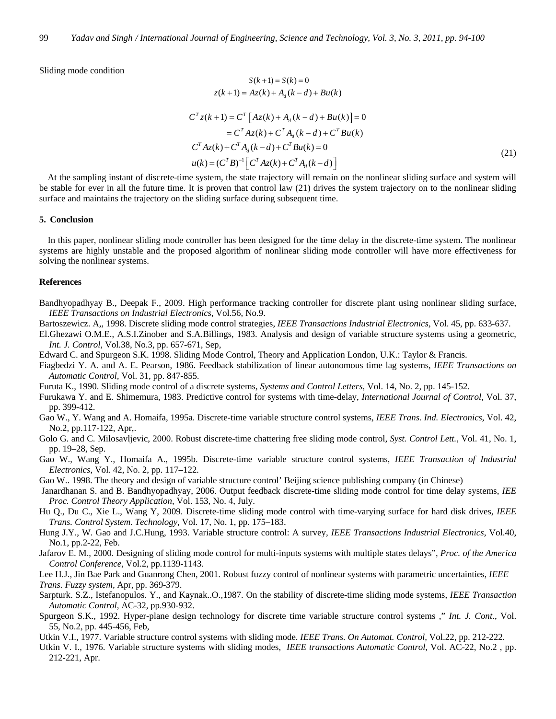Sliding mode condition

$$
S(k+1) = S(k) = 0
$$
  

$$
z(k+1) = Az(k) + A_d(k-d) + Bu(k)
$$

$$
C^{T} z(k+1) = C^{T} [Az(k) + A_{d}(k-d) + Bu(k)] = 0
$$
  
\n
$$
= C^{T} Az(k) + C^{T} A_{d}(k-d) + C^{T} Bu(k)
$$
  
\n
$$
C^{T} Az(k) + C^{T} A_{d}(k-d) + C^{T} Bu(k) = 0
$$
  
\n
$$
u(k) = (C^{T} B)^{-1} [C^{T} Az(k) + C^{T} A_{d}(k-d)]
$$
\n(21)

At the sampling instant of discrete-time system, the state trajectory will remain on the nonlinear sliding surface and system will be stable for ever in all the future time. It is proven that control law (21) drives the system trajectory on to the nonlinear sliding surface and maintains the trajectory on the sliding surface during subsequent time.

## **5. Conclusion**

In this paper, nonlinear sliding mode controller has been designed for the time delay in the discrete-time system. The nonlinear systems are highly unstable and the proposed algorithm of nonlinear sliding mode controller will have more effectiveness for solving the nonlinear systems.

### **References**

Bandhyopadhyay B., Deepak F., 2009. High performance tracking controller for discrete plant using nonlinear sliding surface, *IEEE Transactions on Industrial Electronics*, Vol.56, No.9.

- Bartoszewicz. A,, 1998. Discrete sliding mode control strategies, *IEEE Transactions Industrial Electronics,* Vol. 45, pp. 633-637.
- El.Ghezawi O.M.E., A.S.I.Zinober and S.A.Billings, 1983. Analysis and design of variable structure systems using a geometric, *Int. J. Control*, Vol.38, No.3, pp. 657-671, Sep,

Edward C. and Spurgeon S.K. 1998. Sliding Mode Control, Theory and Application London, U.K.: Taylor & Francis.

- Fiagbedzi Y. A. and A. E. Pearson, 1986. Feedback stabilization of linear autonomous time lag systems, *IEEE Transactions on Automatic Control,* Vol. 31, pp. 847-855*.*
- Furuta K., 1990. Sliding mode control of a discrete systems, *Systems and Control Letters*, Vol. 14, No. 2, pp. 145-152.
- Furukawa Y. and E. Shimemura, 1983. Predictive control for systems with time-delay, *International Journal of Control,* Vol. 37, pp. 399-412.
- Gao W., Y. Wang and A. Homaifa, 1995a. Discrete-time variable structure control systems, *IEEE Trans. Ind. Electronics*, Vol. 42, No.2, pp.117-122, Apr,.
- Golo G. and C. Milosavljevic, 2000. Robust discrete-time chattering free sliding mode control, *Syst. Control Lett.*, Vol. 41, No. 1, pp. 19–28, Sep.
- Gao W., Wang Y., Homaifa A., 1995b. Discrete-time variable structure control systems, *IEEE Transaction of Industrial Electronics,* Vol. 42, No. 2, pp. 117–122*.*
- Gao W.. 1998. The theory and design of variable structure control' Beijing science publishing company (in Chinese)
- Janardhanan S. and B. Bandhyopadhyay, 2006. Output feedback discrete-time sliding mode control for time delay systems, *IEE Proc. Control Theory Application,* Vol. 153, No. 4, July.
- Hu Q., Du C., Xie L., Wang Y, 2009. Discrete-time sliding mode control with time-varying surface for hard disk drives, *IEEE Trans. Control System. Technology,* Vol. 17, No. 1, pp. 175–183.
- Hung J.Y., W. Gao and J.C.Hung, 1993. Variable structure control: A survey, *IEEE Transactions Industrial Electronics*, Vol.40, No.1, pp.2-22, Feb.
- Jafarov E. M., 2000. Designing of sliding mode control for multi-inputs systems with multiple states delays", *Proc. of the America Control Conference,* Vol.2, pp.1139-1143.

Lee H.J., Jin Bae Park and Guanrong Chen, 2001. Robust fuzzy control of nonlinear systems with parametric uncertainties, *IEEE Trans. Fuzzy system,* Apr, pp. 369-379.

- Sarpturk. S.Z., Istefanopulos. Y., and Kaynak..O.,1987. On the stability of discrete-time sliding mode systems, *IEEE Transaction Automatic Control,* AC-32, pp.930-932.
- Spurgeon S.K., 1992. Hyper-plane design technology for discrete time variable structure control systems ," *Int. J. Cont*., Vol. 55, No.2, pp. 445-456, Feb,
- Utkin V.I., 1977. Variable structure control systems with sliding mode. *IEEE Trans. On Automat. Control,* Vol.22, pp. 212-222.
- Utkin V. I., 1976. Variable structure systems with sliding modes, *IEEE transactions Automatic Control*, Vol. AC-22, No.2 , pp. 212-221, Apr.